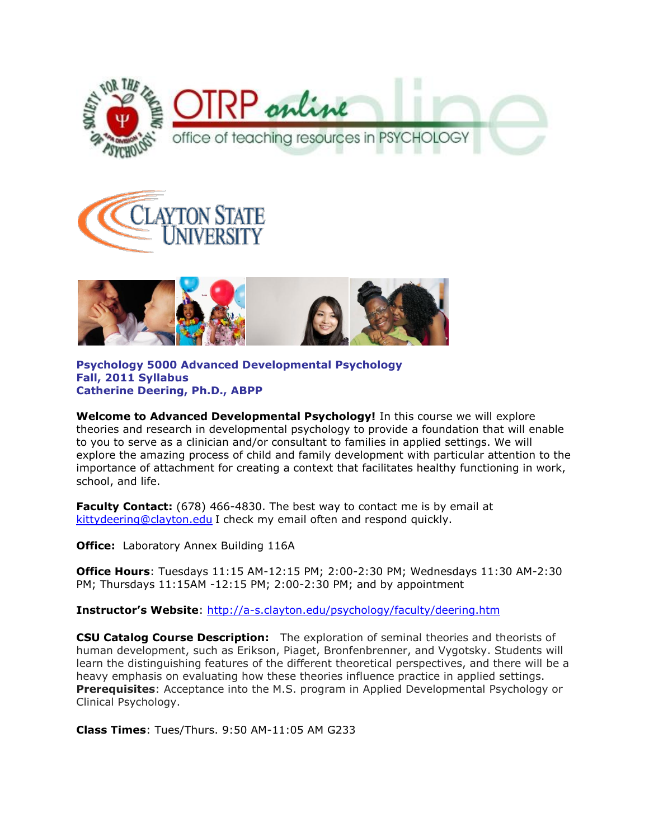





**Psychology 5000 Advanced Developmental Psychology Fall, 2011 Syllabus Catherine Deering, Ph.D., ABPP**

**Welcome to Advanced Developmental Psychology!** In this course we will explore theories and research in developmental psychology to provide a foundation that will enable to you to serve as a clinician and/or consultant to families in applied settings. We will explore the amazing process of child and family development with particular attention to the importance of attachment for creating a context that facilitates healthy functioning in work, school, and life.

**Faculty Contact:** (678) 466-4830. The best way to contact me is by email at [kittydeering@clayton.edu](mailto:kittydeering@clayton.edu) I check my email often and respond quickly.

**Office:** Laboratory Annex Building 116A

**Office Hours**: Tuesdays 11:15 AM-12:15 PM; 2:00-2:30 PM; Wednesdays 11:30 AM-2:30 PM; Thursdays 11:15AM -12:15 PM; 2:00-2:30 PM; and by appointment

**Instructor's Website**:<http://a-s.clayton.edu/psychology/faculty/deering.htm>

**CSU Catalog Course Description:** The exploration of seminal theories and theorists of human development, such as Erikson, Piaget, Bronfenbrenner, and Vygotsky. Students will learn the distinguishing features of the different theoretical perspectives, and there will be a heavy emphasis on evaluating how these theories influence practice in applied settings. **Prerequisites**: Acceptance into the M.S. program in Applied Developmental Psychology or Clinical Psychology.

**Class Times**: Tues/Thurs. 9:50 AM-11:05 AM G233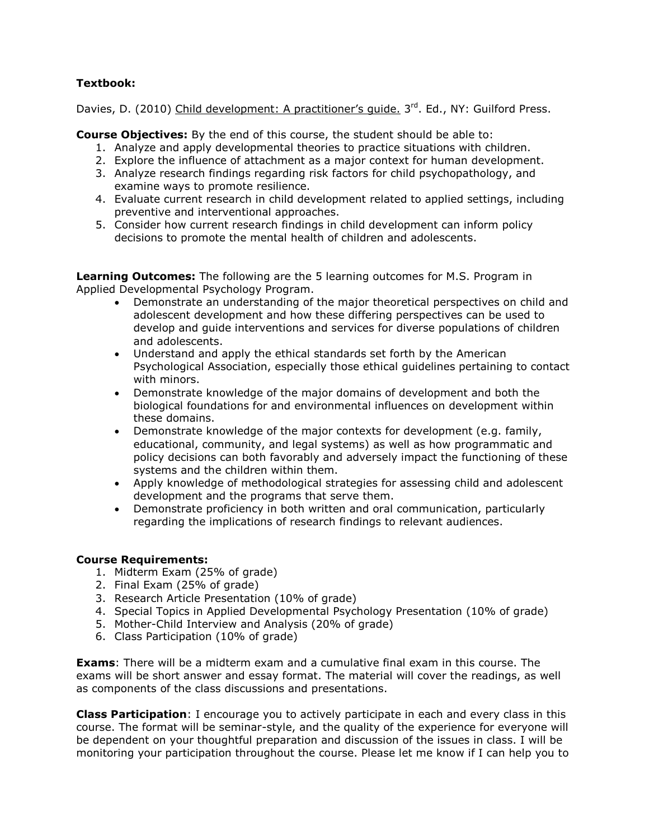# **Textbook:**

Davies, D. (2010) Child development: A practitioner's quide. 3<sup>rd</sup>. Ed., NY: Guilford Press.

**Course Objectives:** By the end of this course, the student should be able to:

- 1. Analyze and apply developmental theories to practice situations with children.
- 2. Explore the influence of attachment as a major context for human development.
- 3. Analyze research findings regarding risk factors for child psychopathology, and examine ways to promote resilience.
- 4. Evaluate current research in child development related to applied settings, including preventive and interventional approaches.
- 5. Consider how current research findings in child development can inform policy decisions to promote the mental health of children and adolescents.

**Learning Outcomes:** The following are the 5 learning outcomes for M.S. Program in Applied Developmental Psychology Program.

- Demonstrate an understanding of the major theoretical perspectives on child and adolescent development and how these differing perspectives can be used to develop and guide interventions and services for diverse populations of children and adolescents.
- Understand and apply the ethical standards set forth by the American Psychological Association, especially those ethical guidelines pertaining to contact with minors.
- Demonstrate knowledge of the major domains of development and both the biological foundations for and environmental influences on development within these domains.
- Demonstrate knowledge of the major contexts for development (e.g. family, educational, community, and legal systems) as well as how programmatic and policy decisions can both favorably and adversely impact the functioning of these systems and the children within them.
- Apply knowledge of methodological strategies for assessing child and adolescent development and the programs that serve them.
- Demonstrate proficiency in both written and oral communication, particularly regarding the implications of research findings to relevant audiences.

### **Course Requirements:**

- 1. Midterm Exam (25% of grade)
- 2. Final Exam (25% of grade)
- 3. Research Article Presentation (10% of grade)
- 4. Special Topics in Applied Developmental Psychology Presentation (10% of grade)
- 5. Mother-Child Interview and Analysis (20% of grade)
- 6. Class Participation (10% of grade)

**Exams**: There will be a midterm exam and a cumulative final exam in this course. The exams will be short answer and essay format. The material will cover the readings, as well as components of the class discussions and presentations.

**Class Participation**: I encourage you to actively participate in each and every class in this course. The format will be seminar-style, and the quality of the experience for everyone will be dependent on your thoughtful preparation and discussion of the issues in class. I will be monitoring your participation throughout the course. Please let me know if I can help you to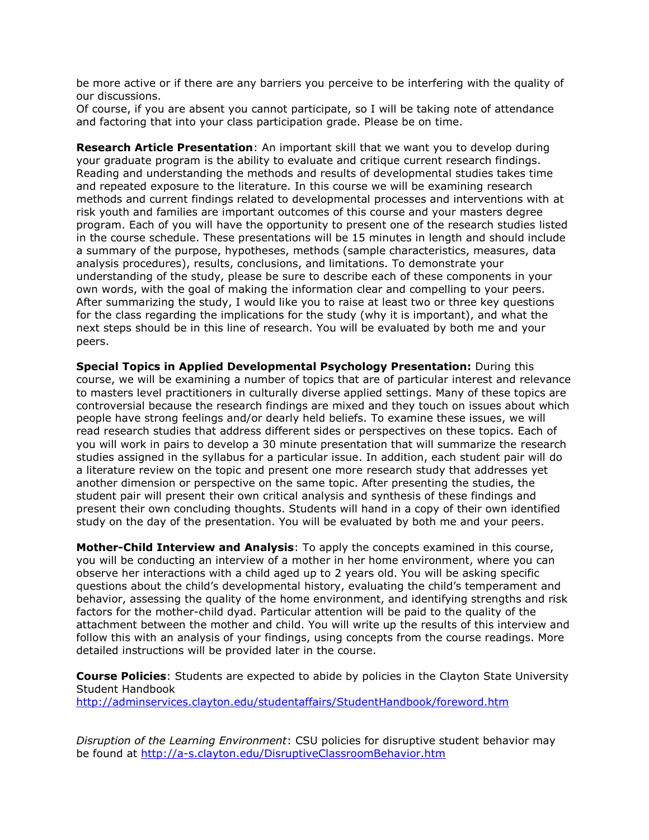be more active or if there are any barriers you perceive to be interfering with the quality of our discussions.

Of course, if you are absent you cannot participate, so I will be taking note of attendance and factoring that into your class participation grade. Please be on time.

**Research Article Presentation**: An important skill that we want you to develop during your graduate program is the ability to evaluate and critique current research findings. Reading and understanding the methods and results of developmental studies takes time and repeated exposure to the literature. In this course we will be examining research methods and current findings related to developmental processes and interventions with at risk youth and families are important outcomes of this course and your masters degree program. Each of you will have the opportunity to present one of the research studies listed in the course schedule. These presentations will be 15 minutes in length and should include a summary of the purpose, hypotheses, methods (sample characteristics, measures, data analysis procedures), results, conclusions, and limitations. To demonstrate your understanding of the study, please be sure to describe each of these components in your own words, with the goal of making the information clear and compelling to your peers. After summarizing the study, I would like you to raise at least two or three key questions for the class regarding the implications for the study (why it is important), and what the next steps should be in this line of research. You will be evaluated by both me and your peers.

**Special Topics in Applied Developmental Psychology Presentation:** During this course, we will be examining a number of topics that are of particular interest and relevance to masters level practitioners in culturally diverse applied settings. Many of these topics are controversial because the research findings are mixed and they touch on issues about which people have strong feelings and/or dearly held beliefs. To examine these issues, we will read research studies that address different sides or perspectives on these topics. Each of you will work in pairs to develop a 30 minute presentation that will summarize the research studies assigned in the syllabus for a particular issue. In addition, each student pair will do a literature review on the topic and present one more research study that addresses yet another dimension or perspective on the same topic. After presenting the studies, the student pair will present their own critical analysis and synthesis of these findings and present their own concluding thoughts. Students will hand in a copy of their own identified study on the day of the presentation. You will be evaluated by both me and your peers.

**Mother-Child Interview and Analysis**: To apply the concepts examined in this course, you will be conducting an interview of a mother in her home environment, where you can observe her interactions with a child aged up to 2 years old. You will be asking specific questions about the child's developmental history, evaluating the child's temperament and behavior, assessing the quality of the home environment, and identifying strengths and risk factors for the mother-child dyad. Particular attention will be paid to the quality of the attachment between the mother and child. You will write up the results of this interview and follow this with an analysis of your findings, using concepts from the course readings. More detailed instructions will be provided later in the course.

**Course Policies**: Students are expected to abide by policies in the Clayton State University Student Handbook <http://adminservices.clayton.edu/studentaffairs/StudentHandbook/foreword.htm>

*Disruption of the Learning Environment*: CSU policies for disruptive student behavior may be found at<http://a-s.clayton.edu/DisruptiveClassroomBehavior.htm>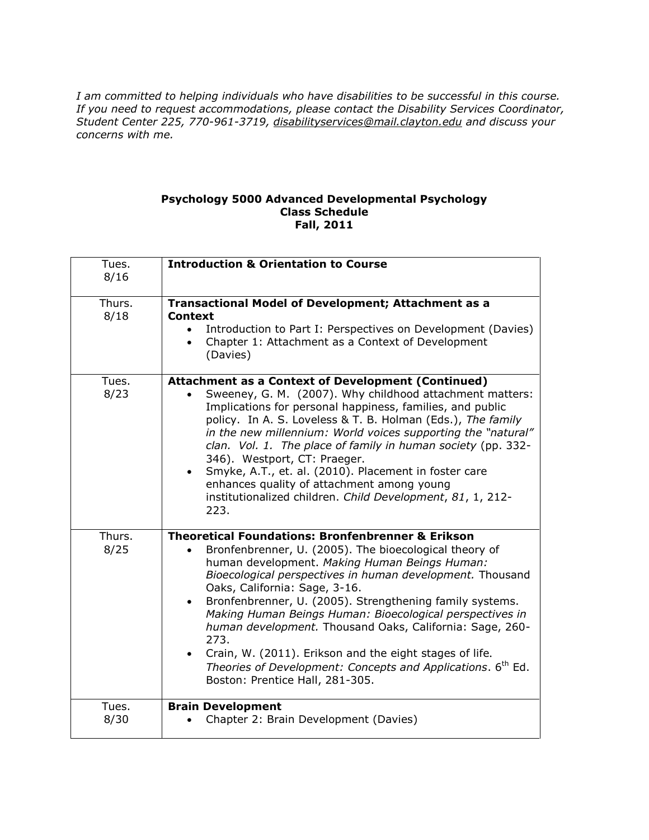*I am committed to helping individuals who have disabilities to be successful in this course. If you need to request accommodations, please contact the Disability Services Coordinator, Student Center 225, 770-961-3719, [disabilityservices@mail.clayton.edu](mailto:disabilityservices@mail.clayton.edu) and discuss your concerns with me.*

#### **Psychology 5000 Advanced Developmental Psychology Class Schedule Fall, 2011**

| Tues.<br>8/16  | <b>Introduction &amp; Orientation to Course</b>                                                                                                                                                                                                                                                                                                                                                                                                                                                                                                                                                                                            |
|----------------|--------------------------------------------------------------------------------------------------------------------------------------------------------------------------------------------------------------------------------------------------------------------------------------------------------------------------------------------------------------------------------------------------------------------------------------------------------------------------------------------------------------------------------------------------------------------------------------------------------------------------------------------|
| Thurs.<br>8/18 | <b>Transactional Model of Development; Attachment as a</b><br>Context<br>Introduction to Part I: Perspectives on Development (Davies)<br>$\bullet$<br>Chapter 1: Attachment as a Context of Development<br>$\bullet$<br>(Davies)                                                                                                                                                                                                                                                                                                                                                                                                           |
| Tues.<br>8/23  | <b>Attachment as a Context of Development (Continued)</b><br>Sweeney, G. M. (2007). Why childhood attachment matters:<br>Implications for personal happiness, families, and public<br>policy. In A. S. Loveless & T. B. Holman (Eds.), The family<br>in the new millennium: World voices supporting the "natural"<br>clan. Vol. 1. The place of family in human society (pp. 332-<br>346). Westport, CT: Praeger.<br>Smyke, A.T., et. al. (2010). Placement in foster care<br>$\bullet$<br>enhances quality of attachment among young<br>institutionalized children. Child Development, 81, 1, 212-<br>223.                                |
| Thurs.<br>8/25 | <b>Theoretical Foundations: Bronfenbrenner &amp; Erikson</b><br>Bronfenbrenner, U. (2005). The bioecological theory of<br>human development. Making Human Beings Human:<br>Bioecological perspectives in human development. Thousand<br>Oaks, California: Sage, 3-16.<br>Bronfenbrenner, U. (2005). Strengthening family systems.<br>Making Human Beings Human: Bioecological perspectives in<br>human development. Thousand Oaks, California: Sage, 260-<br>273.<br>Crain, W. (2011). Erikson and the eight stages of life.<br>Theories of Development: Concepts and Applications. 6 <sup>th</sup> Ed.<br>Boston: Prentice Hall, 281-305. |
| Tues.<br>8/30  | <b>Brain Development</b><br>Chapter 2: Brain Development (Davies)                                                                                                                                                                                                                                                                                                                                                                                                                                                                                                                                                                          |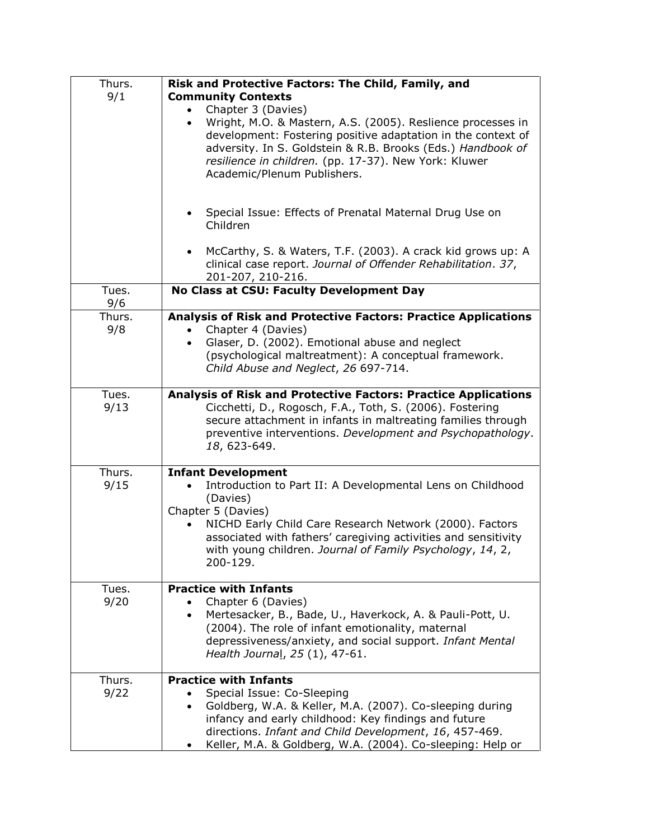| Thurs.<br>9/1  | Risk and Protective Factors: The Child, Family, and<br><b>Community Contexts</b><br>Chapter 3 (Davies)<br>Wright, M.O. & Mastern, A.S. (2005). Reslience processes in<br>$\bullet$<br>development: Fostering positive adaptation in the context of<br>adversity. In S. Goldstein & R.B. Brooks (Eds.) Handbook of<br>resilience in children. (pp. 17-37). New York: Kluwer<br>Academic/Plenum Publishers. |
|----------------|-----------------------------------------------------------------------------------------------------------------------------------------------------------------------------------------------------------------------------------------------------------------------------------------------------------------------------------------------------------------------------------------------------------|
|                | Special Issue: Effects of Prenatal Maternal Drug Use on<br>Children<br>McCarthy, S. & Waters, T.F. (2003). A crack kid grows up: A<br>$\bullet$                                                                                                                                                                                                                                                           |
|                | clinical case report. Journal of Offender Rehabilitation. 37,<br>201-207, 210-216.                                                                                                                                                                                                                                                                                                                        |
| Tues.<br>9/6   | No Class at CSU: Faculty Development Day                                                                                                                                                                                                                                                                                                                                                                  |
| Thurs.<br>9/8  | Analysis of Risk and Protective Factors: Practice Applications<br>Chapter 4 (Davies)<br>Glaser, D. (2002). Emotional abuse and neglect<br>(psychological maltreatment): A conceptual framework.<br>Child Abuse and Neglect, 26 697-714.                                                                                                                                                                   |
| Tues.<br>9/13  | <b>Analysis of Risk and Protective Factors: Practice Applications</b><br>Cicchetti, D., Rogosch, F.A., Toth, S. (2006). Fostering<br>secure attachment in infants in maltreating families through<br>preventive interventions. Development and Psychopathology.<br>18, 623-649.                                                                                                                           |
| Thurs.<br>9/15 | <b>Infant Development</b><br>Introduction to Part II: A Developmental Lens on Childhood<br>(Davies)<br>Chapter 5 (Davies)<br>NICHD Early Child Care Research Network (2000). Factors<br>associated with fathers' caregiving activities and sensitivity<br>with young children. Journal of Family Psychology, 14, 2,<br>200-129.                                                                           |
| Tues.<br>9/20  | <b>Practice with Infants</b><br>Chapter 6 (Davies)<br>Mertesacker, B., Bade, U., Haverkock, A. & Pauli-Pott, U.<br>$\bullet$<br>(2004). The role of infant emotionality, maternal<br>depressiveness/anxiety, and social support. Infant Mental<br>Health Journal, 25 (1), 47-61.                                                                                                                          |
| Thurs.<br>9/22 | <b>Practice with Infants</b><br>Special Issue: Co-Sleeping<br>Goldberg, W.A. & Keller, M.A. (2007). Co-sleeping during<br>$\bullet$<br>infancy and early childhood: Key findings and future<br>directions. Infant and Child Development, 16, 457-469.<br>Keller, M.A. & Goldberg, W.A. (2004). Co-sleeping: Help or<br>٠                                                                                  |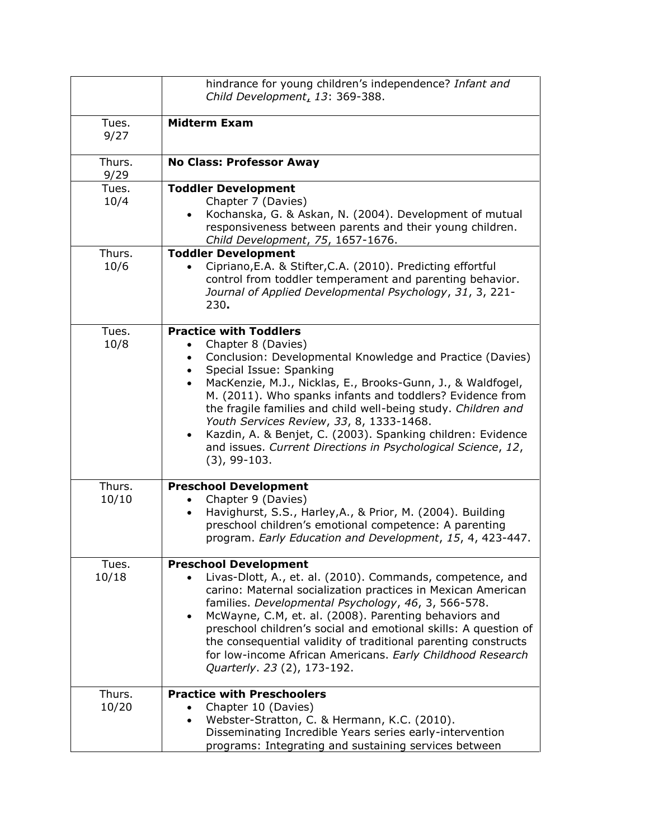|                 | hindrance for young children's independence? Infant and                                                                                                                                                                                                                                                                                                                                                                                                                                                                                                                       |
|-----------------|-------------------------------------------------------------------------------------------------------------------------------------------------------------------------------------------------------------------------------------------------------------------------------------------------------------------------------------------------------------------------------------------------------------------------------------------------------------------------------------------------------------------------------------------------------------------------------|
|                 | Child Development, 13: 369-388.                                                                                                                                                                                                                                                                                                                                                                                                                                                                                                                                               |
| Tues.<br>9/27   | <b>Midterm Exam</b>                                                                                                                                                                                                                                                                                                                                                                                                                                                                                                                                                           |
| Thurs.<br>9/29  | <b>No Class: Professor Away</b>                                                                                                                                                                                                                                                                                                                                                                                                                                                                                                                                               |
| Tues.           | <b>Toddler Development</b>                                                                                                                                                                                                                                                                                                                                                                                                                                                                                                                                                    |
| 10/4            | Chapter 7 (Davies)<br>Kochanska, G. & Askan, N. (2004). Development of mutual<br>responsiveness between parents and their young children.<br>Child Development, 75, 1657-1676.                                                                                                                                                                                                                                                                                                                                                                                                |
| Thurs.<br>10/6  | <b>Toddler Development</b><br>Cipriano, E.A. & Stifter, C.A. (2010). Predicting effortful<br>control from toddler temperament and parenting behavior.<br>Journal of Applied Developmental Psychology, 31, 3, 221-<br>230.                                                                                                                                                                                                                                                                                                                                                     |
| Tues.<br>10/8   | <b>Practice with Toddlers</b><br>Chapter 8 (Davies)<br>Conclusion: Developmental Knowledge and Practice (Davies)<br>Special Issue: Spanking<br>$\bullet$<br>MacKenzie, M.J., Nicklas, E., Brooks-Gunn, J., & Waldfogel,<br>$\bullet$<br>M. (2011). Who spanks infants and toddlers? Evidence from<br>the fragile families and child well-being study. Children and<br>Youth Services Review, 33, 8, 1333-1468.<br>Kazdin, A. & Benjet, C. (2003). Spanking children: Evidence<br>$\bullet$<br>and issues. Current Directions in Psychological Science, 12,<br>$(3)$ , 99-103. |
| Thurs.<br>10/10 | <b>Preschool Development</b><br>Chapter 9 (Davies)<br>$\bullet$<br>Havighurst, S.S., Harley, A., & Prior, M. (2004). Building<br>$\bullet$<br>preschool children's emotional competence: A parenting<br>program. Early Education and Development, 15, 4, 423-447.                                                                                                                                                                                                                                                                                                             |
| Tues.<br>10/18  | <b>Preschool Development</b><br>Livas-Dlott, A., et. al. (2010). Commands, competence, and<br>carino: Maternal socialization practices in Mexican American<br>families. Developmental Psychology, 46, 3, 566-578.<br>McWayne, C.M, et. al. (2008). Parenting behaviors and<br>preschool children's social and emotional skills: A question of<br>the consequential validity of traditional parenting constructs<br>for low-income African Americans. Early Childhood Research<br>Quarterly. 23 (2), 173-192.                                                                  |
| Thurs.<br>10/20 | <b>Practice with Preschoolers</b><br>Chapter 10 (Davies)<br>Webster-Stratton, C. & Hermann, K.C. (2010).<br>Disseminating Incredible Years series early-intervention<br>programs: Integrating and sustaining services between                                                                                                                                                                                                                                                                                                                                                 |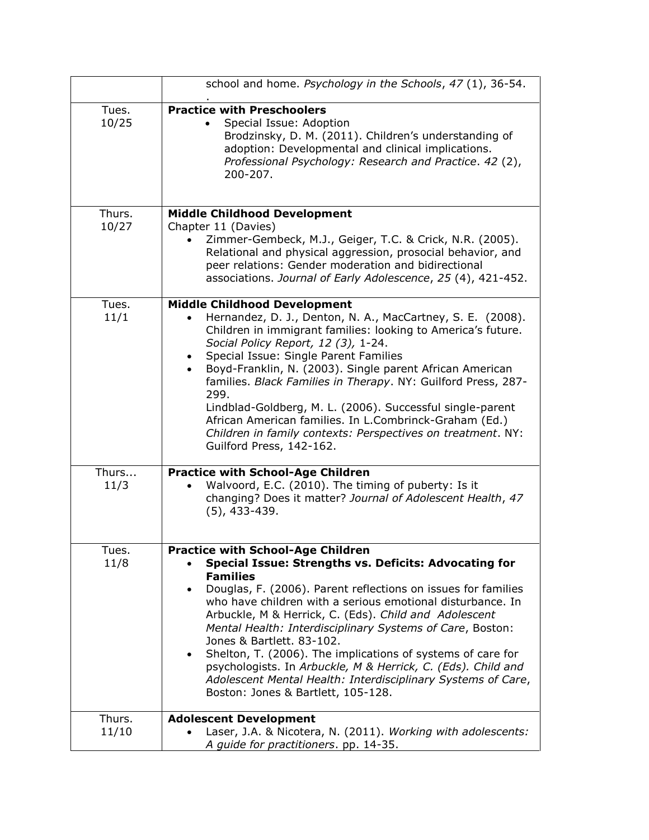|                 | school and home. Psychology in the Schools, 47 (1), 36-54.                                                                                                                                                                                                                                                                                                                                                                                                                                                                                                                                                                                               |
|-----------------|----------------------------------------------------------------------------------------------------------------------------------------------------------------------------------------------------------------------------------------------------------------------------------------------------------------------------------------------------------------------------------------------------------------------------------------------------------------------------------------------------------------------------------------------------------------------------------------------------------------------------------------------------------|
| Tues.<br>10/25  | <b>Practice with Preschoolers</b><br>Special Issue: Adoption<br>$\bullet$<br>Brodzinsky, D. M. (2011). Children's understanding of<br>adoption: Developmental and clinical implications.<br>Professional Psychology: Research and Practice. 42 (2),<br>200-207.                                                                                                                                                                                                                                                                                                                                                                                          |
| Thurs.<br>10/27 | <b>Middle Childhood Development</b><br>Chapter 11 (Davies)<br>Zimmer-Gembeck, M.J., Geiger, T.C. & Crick, N.R. (2005).<br>Relational and physical aggression, prosocial behavior, and<br>peer relations: Gender moderation and bidirectional<br>associations. Journal of Early Adolescence, 25 (4), 421-452.                                                                                                                                                                                                                                                                                                                                             |
| Tues.<br>11/1   | <b>Middle Childhood Development</b><br>Hernandez, D. J., Denton, N. A., MacCartney, S. E. (2008).<br>Children in immigrant families: looking to America's future.<br>Social Policy Report, 12 (3), 1-24.<br>Special Issue: Single Parent Families<br>Boyd-Franklin, N. (2003). Single parent African American<br>$\bullet$<br>families. Black Families in Therapy. NY: Guilford Press, 287-<br>299.<br>Lindblad-Goldberg, M. L. (2006). Successful single-parent<br>African American families. In L.Combrinck-Graham (Ed.)<br>Children in family contexts: Perspectives on treatment. NY:<br>Guilford Press, 142-162.                                    |
| Thurs<br>11/3   | <b>Practice with School-Age Children</b><br>Walvoord, E.C. (2010). The timing of puberty: Is it<br>changing? Does it matter? Journal of Adolescent Health, 47<br>$(5)$ , 433-439.                                                                                                                                                                                                                                                                                                                                                                                                                                                                        |
| Tues.<br>11/8   | <b>Practice with School-Age Children</b><br>Special Issue: Strengths vs. Deficits: Advocating for<br><b>Families</b><br>Douglas, F. (2006). Parent reflections on issues for families<br>who have children with a serious emotional disturbance. In<br>Arbuckle, M & Herrick, C. (Eds). Child and Adolescent<br>Mental Health: Interdisciplinary Systems of Care, Boston:<br>Jones & Bartlett. 83-102.<br>Shelton, T. (2006). The implications of systems of care for<br>$\bullet$<br>psychologists. In Arbuckle, M & Herrick, C. (Eds). Child and<br>Adolescent Mental Health: Interdisciplinary Systems of Care,<br>Boston: Jones & Bartlett, 105-128. |
| Thurs.<br>11/10 | <b>Adolescent Development</b><br>Laser, J.A. & Nicotera, N. (2011). Working with adolescents:<br>A guide for practitioners. pp. 14-35.                                                                                                                                                                                                                                                                                                                                                                                                                                                                                                                   |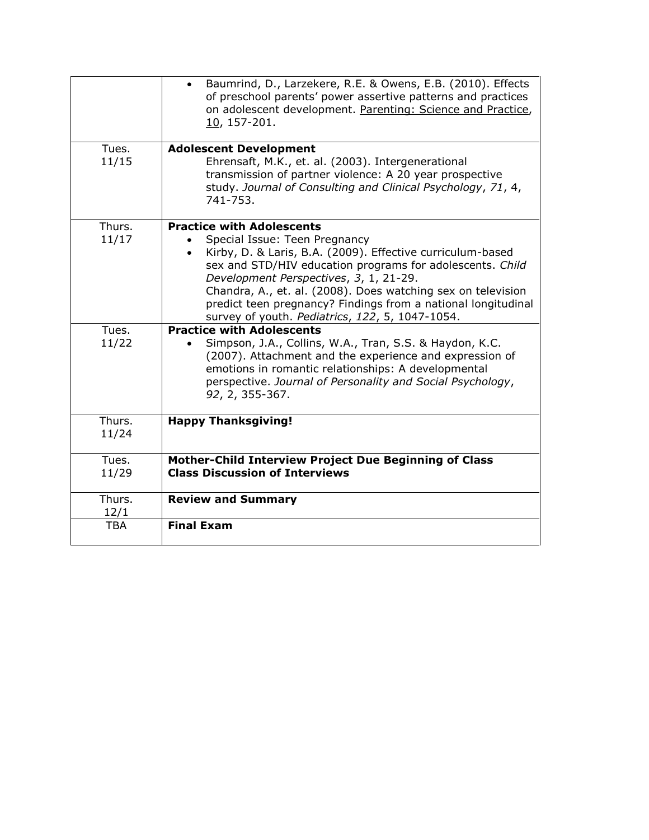|            | Baumrind, D., Larzekere, R.E. & Owens, E.B. (2010). Effects<br>of preschool parents' power assertive patterns and practices<br>on adolescent development. Parenting: Science and Practice,<br>10, 157-201. |
|------------|------------------------------------------------------------------------------------------------------------------------------------------------------------------------------------------------------------|
| Tues.      | <b>Adolescent Development</b>                                                                                                                                                                              |
| 11/15      | Ehrensaft, M.K., et. al. (2003). Intergenerational<br>transmission of partner violence: A 20 year prospective<br>study. Journal of Consulting and Clinical Psychology, 71, 4,<br>741-753.                  |
| Thurs.     | <b>Practice with Adolescents</b>                                                                                                                                                                           |
| 11/17      | Special Issue: Teen Pregnancy                                                                                                                                                                              |
|            | Kirby, D. & Laris, B.A. (2009). Effective curriculum-based                                                                                                                                                 |
|            |                                                                                                                                                                                                            |
|            | sex and STD/HIV education programs for adolescents. Child                                                                                                                                                  |
|            | Development Perspectives, 3, 1, 21-29.                                                                                                                                                                     |
|            | Chandra, A., et. al. (2008). Does watching sex on television                                                                                                                                               |
|            | predict teen pregnancy? Findings from a national longitudinal                                                                                                                                              |
|            | survey of youth. Pediatrics, 122, 5, 1047-1054.                                                                                                                                                            |
| Tues.      | <b>Practice with Adolescents</b>                                                                                                                                                                           |
| 11/22      | Simpson, J.A., Collins, W.A., Tran, S.S. & Haydon, K.C.                                                                                                                                                    |
|            | (2007). Attachment and the experience and expression of                                                                                                                                                    |
|            | emotions in romantic relationships: A developmental                                                                                                                                                        |
|            | perspective. Journal of Personality and Social Psychology,                                                                                                                                                 |
|            |                                                                                                                                                                                                            |
|            | 92, 2, 355-367.                                                                                                                                                                                            |
| Thurs.     | <b>Happy Thanksgiving!</b>                                                                                                                                                                                 |
| 11/24      |                                                                                                                                                                                                            |
|            |                                                                                                                                                                                                            |
| Tues.      | Mother-Child Interview Project Due Beginning of Class                                                                                                                                                      |
| 11/29      | <b>Class Discussion of Interviews</b>                                                                                                                                                                      |
|            |                                                                                                                                                                                                            |
| Thurs.     | <b>Review and Summary</b>                                                                                                                                                                                  |
| 12/1       |                                                                                                                                                                                                            |
| <b>TBA</b> | <b>Final Exam</b>                                                                                                                                                                                          |
|            |                                                                                                                                                                                                            |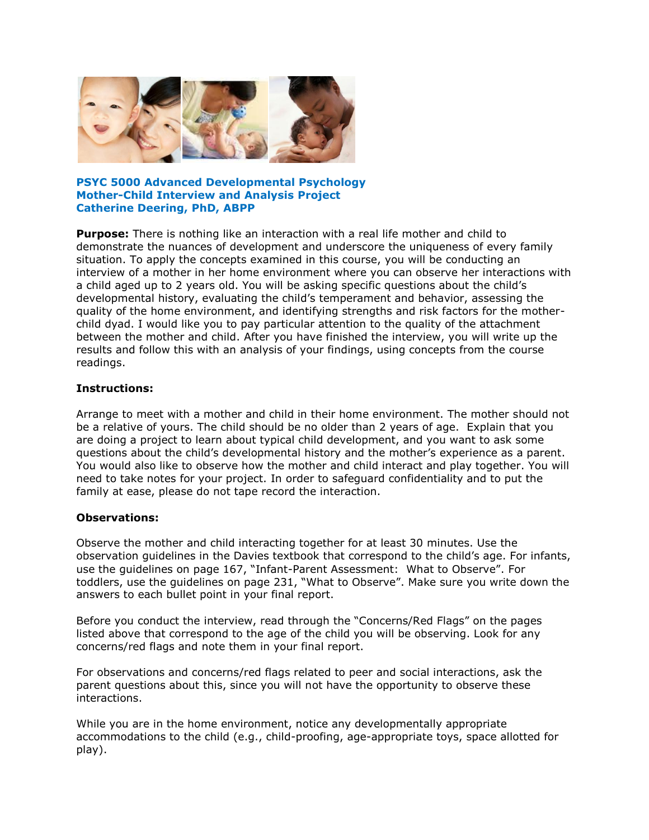

**PSYC 5000 Advanced Developmental Psychology Mother-Child Interview and Analysis Project Catherine Deering, PhD, ABPP**

**Purpose:** There is nothing like an interaction with a real life mother and child to demonstrate the nuances of development and underscore the uniqueness of every family situation. To apply the concepts examined in this course, you will be conducting an interview of a mother in her home environment where you can observe her interactions with a child aged up to 2 years old. You will be asking specific questions about the child's developmental history, evaluating the child's temperament and behavior, assessing the quality of the home environment, and identifying strengths and risk factors for the motherchild dyad. I would like you to pay particular attention to the quality of the attachment between the mother and child. After you have finished the interview, you will write up the results and follow this with an analysis of your findings, using concepts from the course readings.

### **Instructions:**

Arrange to meet with a mother and child in their home environment. The mother should not be a relative of yours. The child should be no older than 2 years of age. Explain that you are doing a project to learn about typical child development, and you want to ask some questions about the child's developmental history and the mother's experience as a parent. You would also like to observe how the mother and child interact and play together. You will need to take notes for your project. In order to safeguard confidentiality and to put the family at ease, please do not tape record the interaction.

### **Observations:**

Observe the mother and child interacting together for at least 30 minutes. Use the observation guidelines in the Davies textbook that correspond to the child's age. For infants, use the guidelines on page 167, "Infant-Parent Assessment: What to Observe". For toddlers, use the guidelines on page 231, "What to Observe". Make sure you write down the answers to each bullet point in your final report.

Before you conduct the interview, read through the "Concerns/Red Flags" on the pages listed above that correspond to the age of the child you will be observing. Look for any concerns/red flags and note them in your final report.

For observations and concerns/red flags related to peer and social interactions, ask the parent questions about this, since you will not have the opportunity to observe these interactions.

While you are in the home environment, notice any developmentally appropriate accommodations to the child (e.g., child-proofing, age-appropriate toys, space allotted for play).